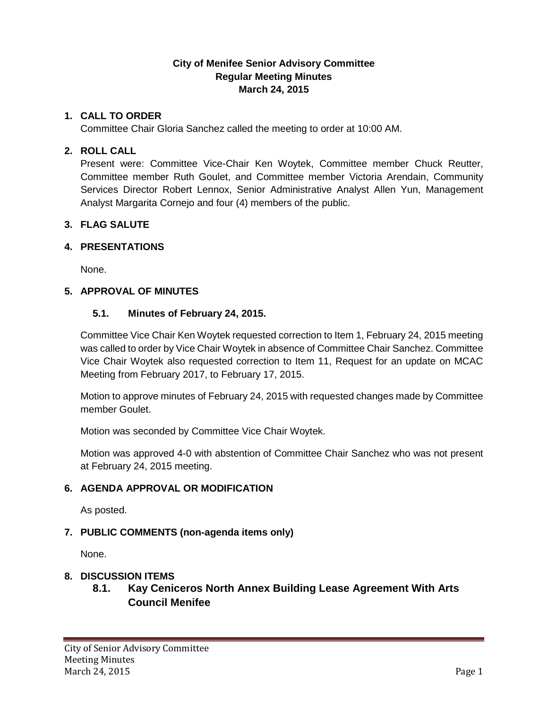# **City of Menifee Senior Advisory Committee Regular Meeting Minutes March 24, 2015**

## **1. CALL TO ORDER**

Committee Chair Gloria Sanchez called the meeting to order at 10:00 AM.

#### **2. ROLL CALL**

Present were: Committee Vice-Chair Ken Woytek, Committee member Chuck Reutter, Committee member Ruth Goulet, and Committee member Victoria Arendain, Community Services Director Robert Lennox, Senior Administrative Analyst Allen Yun, Management Analyst Margarita Cornejo and four (4) members of the public.

### **3. FLAG SALUTE**

### **4. PRESENTATIONS**

None.

### **5. APPROVAL OF MINUTES**

### **5.1. Minutes of February 24, 2015.**

Committee Vice Chair Ken Woytek requested correction to Item 1, February 24, 2015 meeting was called to order by Vice Chair Woytek in absence of Committee Chair Sanchez. Committee Vice Chair Woytek also requested correction to Item 11, Request for an update on MCAC Meeting from February 2017, to February 17, 2015.

Motion to approve minutes of February 24, 2015 with requested changes made by Committee member Goulet.

Motion was seconded by Committee Vice Chair Woytek.

Motion was approved 4-0 with abstention of Committee Chair Sanchez who was not present at February 24, 2015 meeting.

#### **6. AGENDA APPROVAL OR MODIFICATION**

As posted.

# **7. PUBLIC COMMENTS (non-agenda items only)**

None.

# **8. DISCUSSION ITEMS**

# **8.1. Kay Ceniceros North Annex Building Lease Agreement With Arts Council Menifee**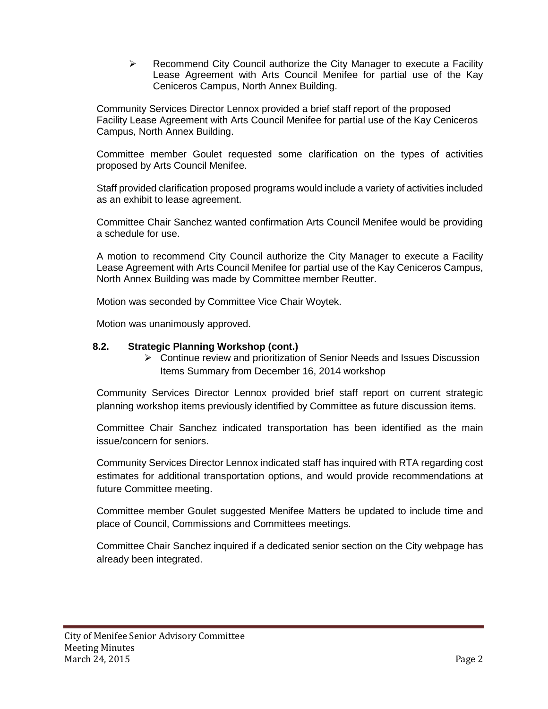$\triangleright$  Recommend City Council authorize the City Manager to execute a Facility Lease Agreement with Arts Council Menifee for partial use of the Kay Ceniceros Campus, North Annex Building.

Community Services Director Lennox provided a brief staff report of the proposed Facility Lease Agreement with Arts Council Menifee for partial use of the Kay Ceniceros Campus, North Annex Building.

Committee member Goulet requested some clarification on the types of activities proposed by Arts Council Menifee.

Staff provided clarification proposed programs would include a variety of activities included as an exhibit to lease agreement.

Committee Chair Sanchez wanted confirmation Arts Council Menifee would be providing a schedule for use.

A motion to recommend City Council authorize the City Manager to execute a Facility Lease Agreement with Arts Council Menifee for partial use of the Kay Ceniceros Campus, North Annex Building was made by Committee member Reutter.

Motion was seconded by Committee Vice Chair Woytek.

Motion was unanimously approved.

#### **8.2. Strategic Planning Workshop (cont.)**

 $\triangleright$  Continue review and prioritization of Senior Needs and Issues Discussion Items Summary from December 16, 2014 workshop

Community Services Director Lennox provided brief staff report on current strategic planning workshop items previously identified by Committee as future discussion items.

Committee Chair Sanchez indicated transportation has been identified as the main issue/concern for seniors.

Community Services Director Lennox indicated staff has inquired with RTA regarding cost estimates for additional transportation options, and would provide recommendations at future Committee meeting.

Committee member Goulet suggested Menifee Matters be updated to include time and place of Council, Commissions and Committees meetings.

Committee Chair Sanchez inquired if a dedicated senior section on the City webpage has already been integrated.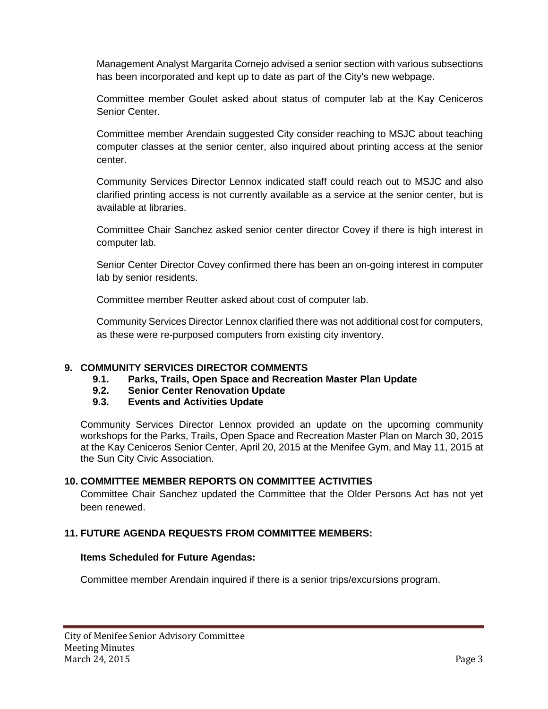Management Analyst Margarita Cornejo advised a senior section with various subsections has been incorporated and kept up to date as part of the City's new webpage.

Committee member Goulet asked about status of computer lab at the Kay Ceniceros Senior Center.

Committee member Arendain suggested City consider reaching to MSJC about teaching computer classes at the senior center, also inquired about printing access at the senior center.

Community Services Director Lennox indicated staff could reach out to MSJC and also clarified printing access is not currently available as a service at the senior center, but is available at libraries.

Committee Chair Sanchez asked senior center director Covey if there is high interest in computer lab.

Senior Center Director Covey confirmed there has been an on-going interest in computer lab by senior residents.

Committee member Reutter asked about cost of computer lab.

Community Services Director Lennox clarified there was not additional cost for computers, as these were re-purposed computers from existing city inventory.

# **9. COMMUNITY SERVICES DIRECTOR COMMENTS**

- **9.1. Parks, Trails, Open Space and Recreation Master Plan Update**
- **9.2. Senior Center Renovation Update**
- **9.3. Events and Activities Update**

Community Services Director Lennox provided an update on the upcoming community workshops for the Parks, Trails, Open Space and Recreation Master Plan on March 30, 2015 at the Kay Ceniceros Senior Center, April 20, 2015 at the Menifee Gym, and May 11, 2015 at the Sun City Civic Association.

# **10. COMMITTEE MEMBER REPORTS ON COMMITTEE ACTIVITIES**

Committee Chair Sanchez updated the Committee that the Older Persons Act has not yet been renewed.

# **11. FUTURE AGENDA REQUESTS FROM COMMITTEE MEMBERS:**

# **Items Scheduled for Future Agendas:**

Committee member Arendain inquired if there is a senior trips/excursions program.